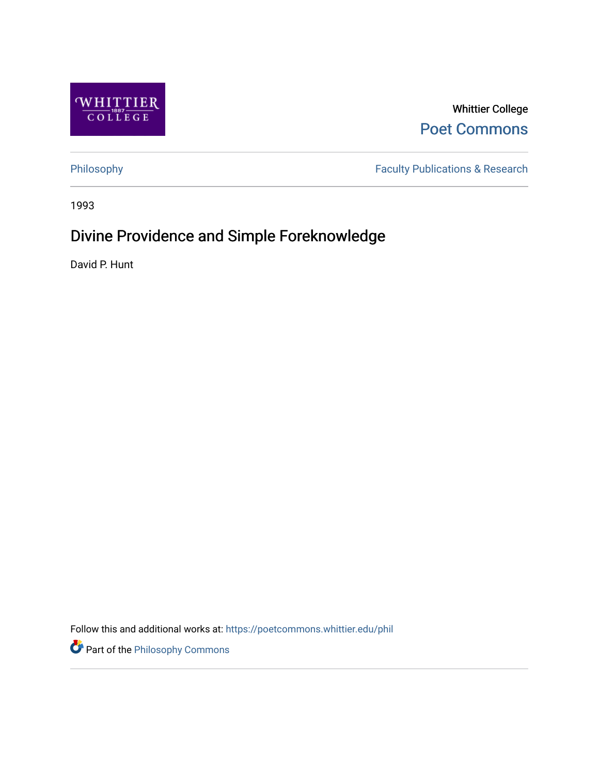

Whittier College [Poet Commons](https://poetcommons.whittier.edu/) 

[Philosophy](https://poetcommons.whittier.edu/phil) Faculty Publications & Research

1993

# Divine Providence and Simple Foreknowledge

David P. Hunt

Follow this and additional works at: [https://poetcommons.whittier.edu/phil](https://poetcommons.whittier.edu/phil?utm_source=poetcommons.whittier.edu%2Fphil%2F14&utm_medium=PDF&utm_campaign=PDFCoverPages)

Part of the [Philosophy Commons](http://network.bepress.com/hgg/discipline/525?utm_source=poetcommons.whittier.edu%2Fphil%2F14&utm_medium=PDF&utm_campaign=PDFCoverPages)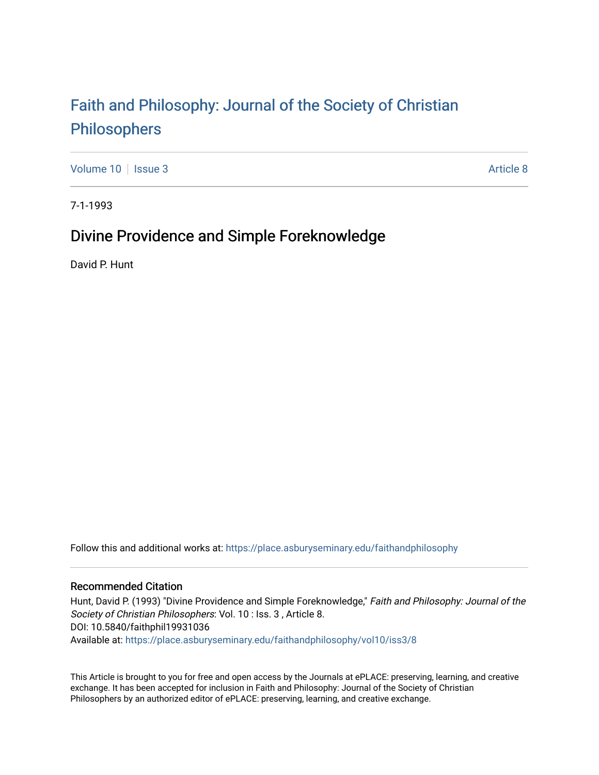# [Faith and Philosophy: Journal of the Society of Christian](https://place.asburyseminary.edu/faithandphilosophy)  [Philosophers](https://place.asburyseminary.edu/faithandphilosophy)

[Volume 10](https://place.asburyseminary.edu/faithandphilosophy/vol10) | [Issue 3](https://place.asburyseminary.edu/faithandphilosophy/vol10/iss3) Article 8

7-1-1993

## Divine Providence and Simple Foreknowledge

David P. Hunt

Follow this and additional works at: [https://place.asburyseminary.edu/faithandphilosophy](https://place.asburyseminary.edu/faithandphilosophy?utm_source=place.asburyseminary.edu%2Ffaithandphilosophy%2Fvol10%2Fiss3%2F8&utm_medium=PDF&utm_campaign=PDFCoverPages)

## Recommended Citation

Hunt, David P. (1993) "Divine Providence and Simple Foreknowledge," Faith and Philosophy: Journal of the Society of Christian Philosophers: Vol. 10 : Iss. 3 , Article 8. DOI: 10.5840/faithphil19931036 Available at: [https://place.asburyseminary.edu/faithandphilosophy/vol10/iss3/8](https://place.asburyseminary.edu/faithandphilosophy/vol10/iss3/8?utm_source=place.asburyseminary.edu%2Ffaithandphilosophy%2Fvol10%2Fiss3%2F8&utm_medium=PDF&utm_campaign=PDFCoverPages)

This Article is brought to you for free and open access by the Journals at ePLACE: preserving, learning, and creative exchange. It has been accepted for inclusion in Faith and Philosophy: Journal of the Society of Christian Philosophers by an authorized editor of ePLACE: preserving, learning, and creative exchange.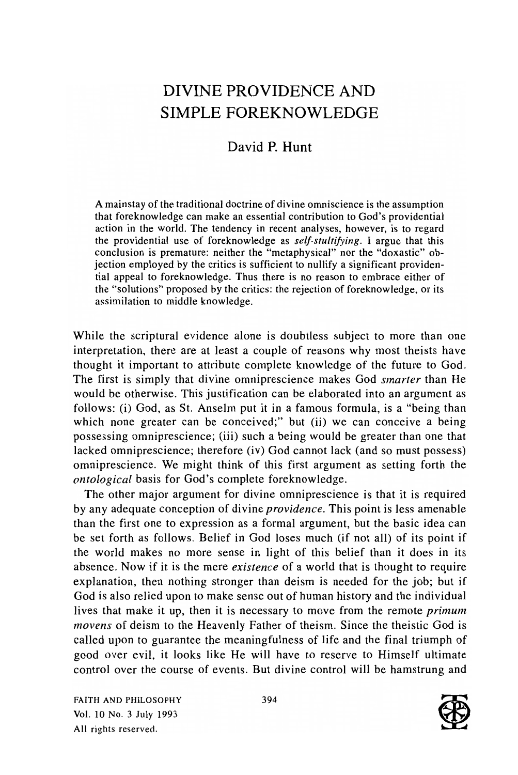## DIVINE PROVIDENCE AND SIMPLE FOREKNOWLEDGE

## David P. Hunt

A mainstay of the traditional doctrine of divine omniscience is the assumption that foreknowledge can make an essential contribution to God's providential action in the world. The tendency in recent analyses, however, is to regard the providential use of foreknowledge as *self-stultifying.* I argue that this conclusion is premature: neither the "metaphysical" nor the "doxastic" objection employed by the critics is sufficient to nullify a significant providential appeal to foreknowledge. Thus there is no reason to embrace either of the "solutions" proposed by the critics: the rejection of foreknowledge, or its assimilation to middle knowledge.

While the scriptural evidence alone is doubtless subject to more than one interpretation, there are at least a couple of reasons why most theists have thought it important to attribute complete knowledge of the future to God. The first is simply that divine omniprescience makes God *smarter* than He would be otherwise. This justification can be elaborated into an argument as follows: (i) God, as St. Anselm put it in a famous formula, is a "being than which none greater can be conceived;" but (ii) we can conceive a being possessing omniprescience; (iii) such a being would be greater than one that lacked omniprescience; therefore (iv) God cannot lack (and so must possess) omniprescience. We might think of this first argument as setting forth the *ontological* basis for God's complete foreknowledge.

The other major argument for divine omniprescience is that it is required by any adequate conception of divine *providence.* This point is less amenable than the first one to expression as a formal argument, but the basic idea can be set forth as follows. Belief in God loses much (if not all) of its point if the world makes no more sense in light of this belief than it does in its absence. Now if it is the mere *existence* of a world that is thought to require explanation, then nothing stronger than deism is needed for the job; but if God is also relied upon to make sense out of human history and the individual lives that make it up, then it is necessary to move from the remote *primum movens* of deism to the Heavenly Father of theism. Since the theistic God is called upon to guarantee the meaningfulness of life and the final triumph of good over evil, it looks like He will have to reserve to Himself ultimate control over the course of events. But divine control will be hamstrung and

FAITH AND PHILOSOPHY Vol. 10 No.3 July 1993 All rights reserved.

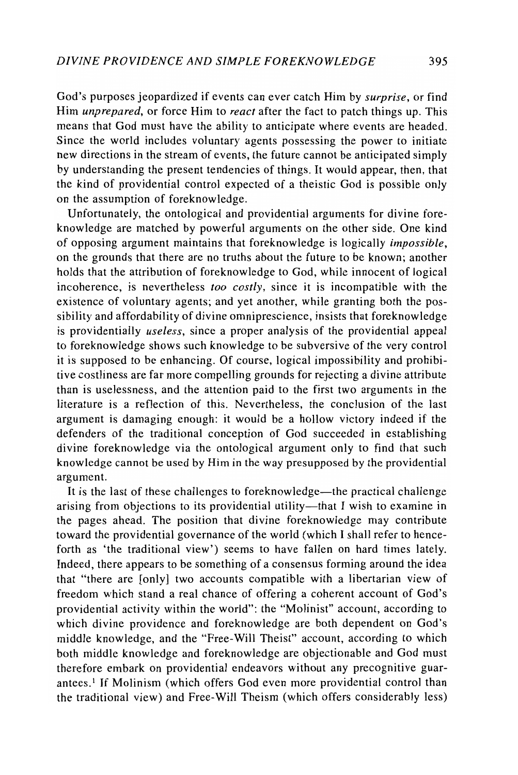God's purposes jeopardized if events can ever catch Him by *surprise,* or find Him *unprepared,* or force Him to *react* after the fact to patch things up. This means that God must have the ability to anticipate where events are headed. Since the world includes voluntary agents possessing the power to initiate new directions in the stream of events, the future cannot be anticipated simply by understanding the present tendencies of things. It would appear, then, that the kind of providential control expected of a theistic God is possible only on the assumption of foreknowledge.

Unfortunately, the ontological and providential arguments for divine foreknowledge are matched by powerful arguments on the other side. One kind of opposing argument maintains that foreknowledge is logically *impossible,*  on the grounds that there are no truths about the future to be known; another holds that the attribution of foreknowledge to God, while innocent of logical incoherence, is nevertheless *too costly,* since it is incompatible with the existence of voluntary agents; and yet another, while granting both the possibility and affordability of divine omniprescience, insists that foreknowledge is providentially *useless,* since a proper analysis of the providential appeal to foreknowledge shows such knowledge to be subversive of the very control it is supposed to be enhancing. Of course, logical impossibility and prohibitive costliness are far more compelling grounds for rejecting a divine attribute than is uselessness, and the attention paid to the first two arguments in the literature is a reflection of this. Nevertheless, the conclusion of the last argument is damaging enough: it would be a hollow victory indeed if the defenders of the traditional conception of God succeeded in establishing divine foreknowledge via the ontological argument only to find that such knowledge cannot be used by Him in the way presupposed by the providential argument.

It is the last of these challenges to foreknowledge-the practical challenge arising from objections to its providential utility—that I wish to examine in the pages ahead. The position that divine foreknowledge may contribute toward the providential governance of the world (which I shall refer to henceforth as 'the traditional view') seems to have fallen on hard times lately. Indeed, there appears to be something of a consensus forming around the idea that "there are [only] two accounts compatible with a libertarian view of freedom which stand a real chance of offering a coherent account of God's providential activity within the world": the "Molinist" account, according to which divine providence and foreknowledge are both dependent on God's middle knowledge, and the "Free-Will Theist" account, according to which both middle knowledge and foreknowledge are objectionable and God must therefore embark on providential endeavors without any precognitive guarantees.<sup>1</sup> If Molinism (which offers God even more providential control than the traditional view) and Free-Will Theism (which offers considerably less)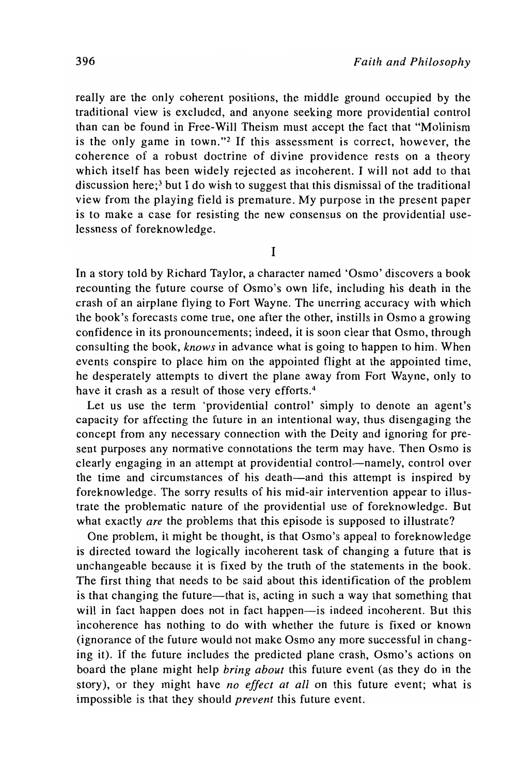really are the only coherent positions, the middle ground occupied by the traditional view is excluded, and anyone seeking more providential control than can be found in Free-Will Theism must accept the fact that "Molinism is the only game in town."2 If this assessment is correct, however, the coherence of a robust doctrine of divine providence rests on a theory which itself has been widely rejected as incoherent. I will not add to that discussion here;<sup>3</sup> but I do wish to suggest that this dismissal of the traditional view from the playing field is premature. My purpose in the present paper is to make a case for resisting the new consensus on the providential uselessness of foreknowledge.

I

In a story told by Richard Taylor, a character named 'Osmo' discovers a book recounting the future course of Osmo's own life, including his death in the crash of an airplane flying to Fort Wayne. The unerring accuracy with which the book's forecasts come true, one after the other, instills in Osmo a growing confidence in its pronouncements; indeed, it is soon clear that Osmo, through consulting the book, *knows* in advance what is going to happen to him. When events conspire to place him on the appointed flight at the appointed time, he desperately attempts to divert the plane away from Fort Wayne, only to have it crash as a result of those very efforts.4

Let us use the term 'providential control' simply to denote an agent's capacity for affecting the future in an intentional way, thus disengaging the concept from any necessary connection with the Deity and ignoring for present purposes any normative connotations the term may have. Then Osmo is clearly engaging in an attempt at providential control-namely, control over the time and circumstances of his death-and this attempt is inspired by foreknowledge. The sorry results of his mid-air intervention appear to illustrate the problematic nature of the providential use of foreknowledge. But what exactly *are* the problems that this episode is supposed to illustrate?

One problem, it might be thought, is that Osmo's appeal to foreknowledge is directed toward the logically incoherent task of changing a future that is unchangeable because it is fixed by the truth of the statements in the book. The first thing that needs to be said about this identification of the problem is that changing the future—that is, acting in such a way that something that will in fact happen does not in fact happen—is indeed incoherent. But this incoherence has nothing to do with whether the future is fixed or known (ignorance of the future would not make Osmo any more successful in changing it). If the future includes the predicted plane crash, Osmo's actions on board the plane might help *bring about* this future event (as they do in the story), or they might have *no effect at all* on this future event; what is impossible is that they should *prevent* this future event.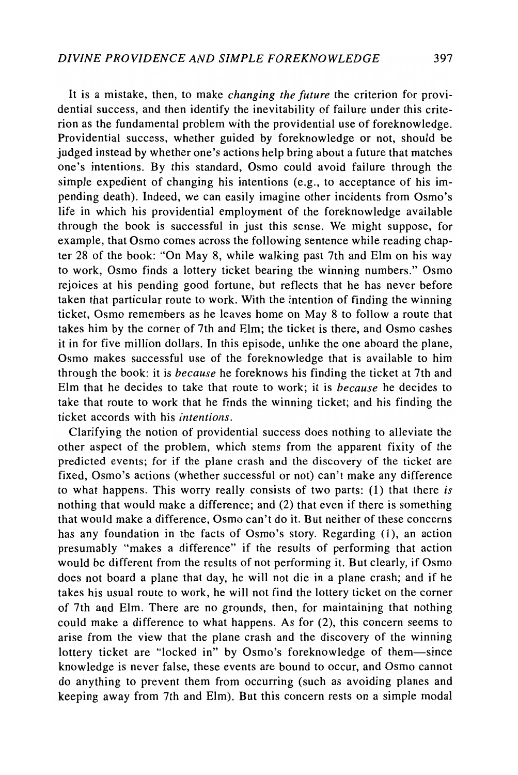It is a mistake, then, to make *changing the future* the criterion for providential success, and then identify the inevitability of failure under this criterion as the fundamental problem with the providential use of foreknowledge. Providential success, whether guided by foreknowledge or not, should be judged instead by whether one's actions help bring about a future that matches one's intentions. By this standard, Osmo could avoid failure through the simple expedient of changing his intentions (e.g., to acceptance of his impending death). Indeed, we can easily imagine other incidents from Osmo's life in which his providential employment of the foreknowledge available through the book is successful in just this sense. We might suppose, for example, that Osmo comes across the following sentence while reading chapter 28 of the book: "On May 8, while walking past 7th and Elm on his way to work, Osmo finds a lottery ticket bearing the winning numbers." Osmo rejoices at his pending good fortune, but reflects that he has never before taken that particular route to work. With the intention of finding the winning ticket, Osmo remembers as he leaves home on May 8 to follow a route that takes him by the corner of 7th and Elm; the ticket is there, and Osmo cashes it in for five million dollars. In this episode, unlike the one aboard the plane, Osmo makes successful use of the foreknowledge that is available to him through the book: it is *because* he foreknows his finding the ticket at 7th and Elm that he decides to take that route to work; it is *because* he decides to take that route to work that he finds the winning ticket; and his finding the ticket accords with his *intentions.* 

Clarifying the notion of providential success does nothing to alleviate the other aspect of the problem, which stems from the apparent fixity of the predicted events; for if the plane crash and the discovery of the ticket are fixed, Osmo's actions (whether successful or not) can't make any difference to what happens. This worry really consists of two parts: (1) that there *is*  nothing that would make a difference; and (2) that even if there is something that would make a difference, Osmo can't do it. But neither of these concerns has any foundation in the facts of Osmo's story. Regarding (1), an action presumably "makes a difference" if the results of performing that action would be different from the results of not performing it. But clearly, if Osmo does not board a plane that day, he will not die in a plane crash; and if he takes his usual route to work, he will not find the lottery ticket on the corner of 7th and Elm. There are no grounds, then, for maintaining that nothing could make a difference to what happens. As for (2), this concern seems to arise from the view that the plane crash and the discovery of the winning lottery ticket are "locked in" by Osmo's foreknowledge of them-since knowledge is never false, these events are bound to occur, and Osmo cannot do anything to prevent them from occurring (such as avoiding planes and keeping away from 7th and Elm). But this concern rests on a simple modal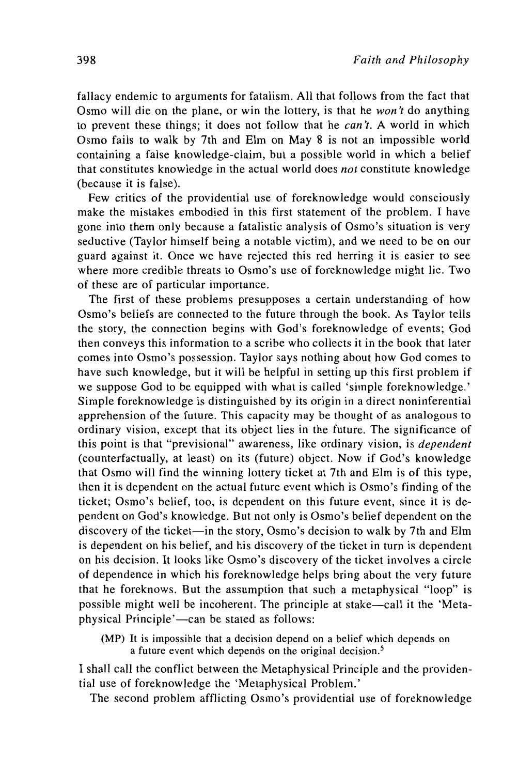fallacy endemic to arguments for fatalism. All that follows from the fact that Osmo will die on the plane, or win the lottery, is that he *won't* do anything to prevent these things; it does not follow that he *can't.* A world in which Osmo fails to walk by 7th and Elm on May 8 is not an impossible world containing a false knowledge-claim, but a possible world in which a belief that constitutes knowledge in the actual world does *not* constitute knowledge (because it is false).

Few critics of the providential use of foreknowledge would consciously make the mistakes embodied in this first statement of the problem. I have gone into them only because a fatalistic analysis of Osmo's situation is very seductive (Taylor himself being a notable victim), and we need to be on our guard against it. Once we have rejected this red herring it is easier to see where more credible threats to Osmo's use of foreknowledge might lie. Two of these are of particular importance.

The first of these problems presupposes a certain understanding of how Osmo's beliefs are connected to the future through the book. As Taylor tells the story, the connection begins with God's foreknowledge of events; God then conveys this information to a scribe who collects it in the book that later comes into Osmo's possession. Taylor says nothing about how God comes to have such know ledge, but it will be helpful in setting up this first problem if we suppose God to be equipped with what is called 'simple foreknowledge.' Simple foreknowledge is distinguished by its origin in a direct noninferential apprehension of the future. This capacity may be thought of as analogous to ordinary vision, except that its object lies in the future. The significance of this point is that "previsional" awareness, like ordinary vision, is *dependent*  (counterfactually, at least) on its (future) object. Now if God's knowledge that Osmo will find the winning lottery ticket at 7th and Elm is of this type, then it is dependent on the actual future event which is Osmo's finding of the ticket; Osmo's belief, too, is dependent on this future event, since it is dependent on God's knowledge. But not only is Osmo's belief dependent on the discovery of the ticket—in the story, Osmo's decision to walk by 7th and Elm is dependent on his belief, and his discovery of the ticket in turn is dependent on his decision. It looks like Osmo's discovery of the ticket involves a circle of dependence in which his foreknowledge helps bring about the very future that he foreknows. But the assumption that such a metaphysical "loop" is possible might well be incoherent. The principle at stake-call it the 'Metaphysical Principle'—can be stated as follows:

(MP) It is impossible that a decision depend on a belief whieh depends on a future event which depends on the original decision.<sup>5</sup>

I shall call the conflict between the Metaphysical Principle and the providential use of foreknowledge the 'Metaphysical Problem.'

The second problem afflicting Osmo's providential use of foreknowledge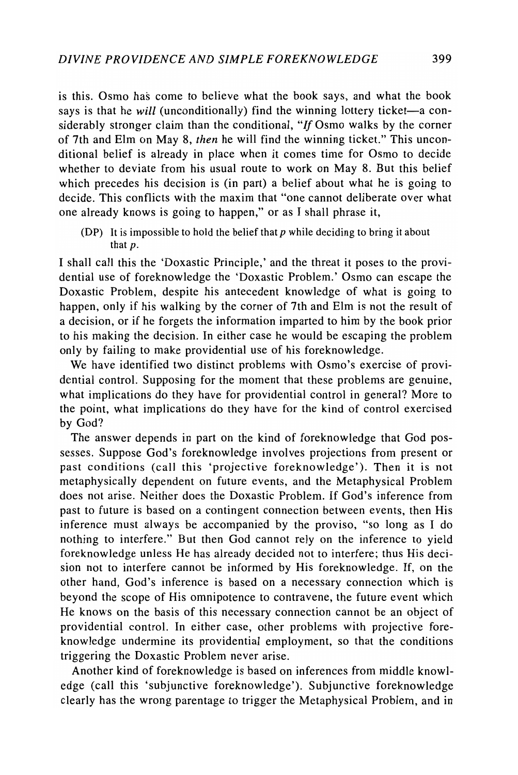is this. Osmo has come to believe what the book says, and what the book says is that he *will* (unconditionally) find the winning lottery ticket—a considerably stronger claim than the conditional, "If Osmo walks by the corner of 7th and Elm on May 8, *then* he will find the winning ticket." This unconditional belief is already in place when it comes time for Osmo to decide whether to deviate from his usual route to work on May 8. But this belief which precedes his decision is (in part) a belief about what he is going to decide. This conflicts with the maxim that "one cannot deliberate over what one already knows is going to happen," or as I shall phrase it,

(DP) It is impossible to hold the belief that *p* while deciding to bring it about that p.

I shall call this the 'Doxastic Principle,' and the threat it poses to the providential use of foreknowledge the 'Doxastic Problem.' Osmo can escape the Doxastic Problem, despite his antecedent knowledge of what is going to happen, only if his walking by the corner of 7th and Elm is not the result of a decision, or if he forgets the information imparted to him by the book prior to his making the decision. In either case he would be escaping the problem only by failing to make providential use of his foreknowledge.

We have identified two distinct problems with Osmo's exercise of providential control. Supposing for the moment that these problems are genuine, what implications do they have for providential control in general? More to the point, what implications do they have for the kind of control exercised by God?

The answer depends in part on the kind of foreknowledge that God possesses. Suppose God's foreknowledge involves projections from present or past conditions (call this 'projective foreknowledge'). Then it is not metaphysically dependent on future events, and the Metaphysical Problem does not arise. Neither does the Doxastic Problem. If God's inference from past to future is based on a contingent connection between events, then His inference must always be accompanied by the proviso, "so long as I do nothing to interfere." But then God cannot rely on the inference to yield foreknowledge unless He has already decided not to interfere; thus His decision not to interfere cannot be informed by His foreknowledge. If, on the other hand, God's inference is based on a necessary connection which is beyond the scope of His omnipotence to contravene, the future event which He knows on the basis of this necessary connection cannot be an object of providential control. In either case, other problems with projective foreknowledge undermine its providential employment, so that the conditions triggering the Doxastic Problem never arise.

Another kind of foreknowledge is based on inferences from middle knowledge (call this 'subjunctive foreknowledge'). Subjunctive foreknowledge clearly has the wrong parentage to trigger the Metaphysical Problem, and in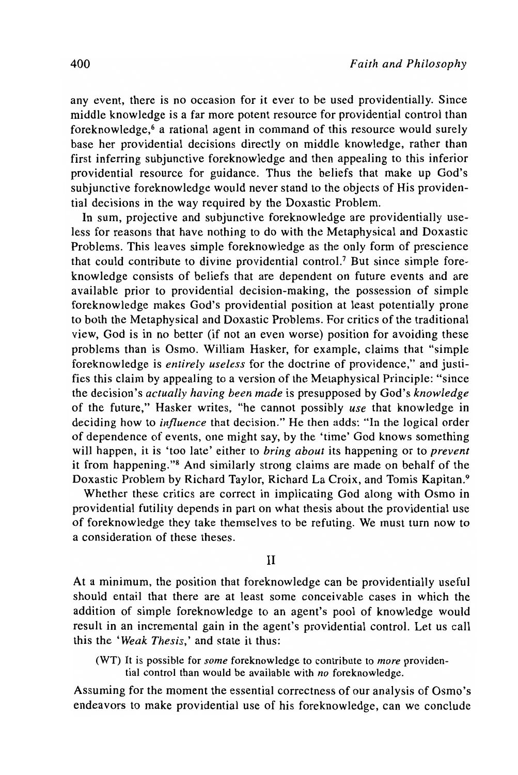any event, there is no occasion for it ever to be used providentially. Since middle knowledge is a far more potent resource for providential control than foreknowledge,6 a rational agent in command of this resource would surely base her providential decisions directly on middle knowledge, rather than first inferring subjunctive foreknowledge and then appealing to this inferior providential resource for guidance. Thus the beliefs that make up God's subjunctive foreknowledge would never stand to the objects of His providential decisions in the way required by the Doxastic Problem.

In sum, projective and subjunctive foreknowledge are providentially useless for reasons that have nothing to do with the Metaphysical and Doxastic Problems. This leaves simple foreknowledge as the only form of prescience that could contribute to divine providential controI.7 But since simple foreknowledge consists of beliefs that are dependent on future events and are available prior to providential decision-making, the possession of simple foreknowledge makes God's providential position at least potentially prone to both the Metaphysical and Doxastic Problems. For critics of the traditional view, God is in no better (if not an even worse) position for avoiding these problems than is Osmo. William Hasker, for example, claims that "simple foreknowledge is *entirely useless* for the doctrine of providence," and justifies this claim by appealing to a version of the Metaphysical Principle: "since the decision's *actually having been made* is presupposed by God's *knowledge*  of the future," Hasker writes, "he cannot possibly *use* that knowledge in deciding how to *influence* that decision." He then adds: "In the logical order of dependence of events, one might say, by the 'time' God knows something will happen, it is 'too late' either to *bring about* its happening or to *prevent*  it from happening."8 And similarly strong claims are made on behalf of the Doxastic Problem by Richard Taylor, Richard La Croix, and Tomis Kapitan. <sup>9</sup>

Whether these critics are correct in implicating God along with Osmo in providential futility depends in part on what thesis about the providential use of foreknowledge they take themselves to be refuting. We must turn now to a consideration of these theses.

## II

At a minimum, the position that foreknowledge can be providentially useful should entail that there are at least some conceivable cases in which the addition of simple foreknowledge to an agent's pool of knowledge would result in an incremental gain in the agent's providential control. Let us call this the *'Weak Thesis,'* and state it thus:

(WT) It is possible for *some* foreknowledge to contribute to *more* providential control than would be available with *no* foreknowledge.

Assuming for the moment the essential correctness of our analysis of Osmo's endeavors to make providential use of his foreknowledge, can we conclude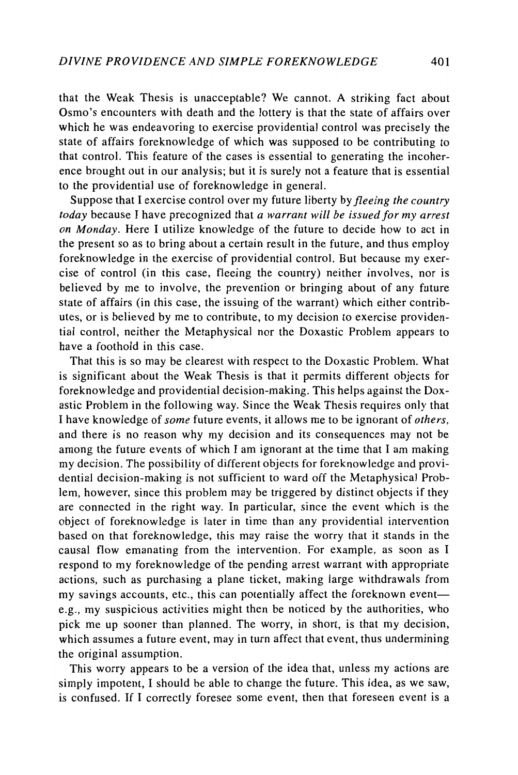that the Weak Thesis is unacceptable? We cannot. A striking fact about Osmo's encounters with death and the lottery is that the state of affairs over which he was endeavoring to exercise providential control was precisely the state of affairs foreknowledge of which was supposed to be contributing to that control. This feature of the cases is essential to generating the incoherence brought out in our analysis; but it is surely not a feature that is essential to the providential use of foreknowledge in general.

Suppose that I exercise control over my future liberty by *fleeing the country today* because I have precognized that *a warrant will be issued/or my arrest on Monday.* Here I utilize knowledge of the future to decide how to act in the present so as to bring about a certain result in the future, and thus employ foreknowledge in the exercise of providential control. But because my exercise of control (in this case, fleeing the country) neither involves, nor is believed by me to involve, the prevention or bringing about of any future state of affairs (in this case, the issuing of the warrant) which either contributes, or is believed by me to contribute, to my decision to exercise providential control, neither the Metaphysical nor the Doxastic Problem appears to have a foothold in this case.

That this is so may be clearest with respect to the Doxastic Problem. What is significant about the Weak Thesis is that it permits different objects for foreknowledge and providential decision-making. This helps against the Doxastic Problem in the following way. Since the Weak Thesis requires only that I have knowledge of *some* future events, it allows me to be ignorant of *others,*  and there is no reason why my decision and its consequences may not be among the future events of which I am ignorant at the time that I am making my decision. The possibility of different objects for foreknowledge and providential decision-making is not sufficient to ward off the Metaphysical Problem, however, since this problem may be triggered by distinct objects if they are connected in the right way. In particular, since the event which is the object of foreknowledge is later in time than any providential intervention based on that foreknowledge, this may raise the worry that it stands in the causal flow emanating from the intervention. For example, as soon as I respond to my foreknowledge of the pending arrest warrant with appropriate actions, such as purchasing a plane ticket, making large withdrawals from my savings accounts, etc., this can potentially affect the foreknown evente.g., my suspicious activities might then be noticed by the authorities, who pick me up sooner than planned. The worry, in short, is that my decision, which assumes a future event, may in turn affect that event, thus undermining the original assumption.

This worry appears to be a version of the idea that, unless my actions are simply impotent, I should be able to change the future. This idea, as we saw, is confused. If I correctly foresee some event, then that foreseen event is a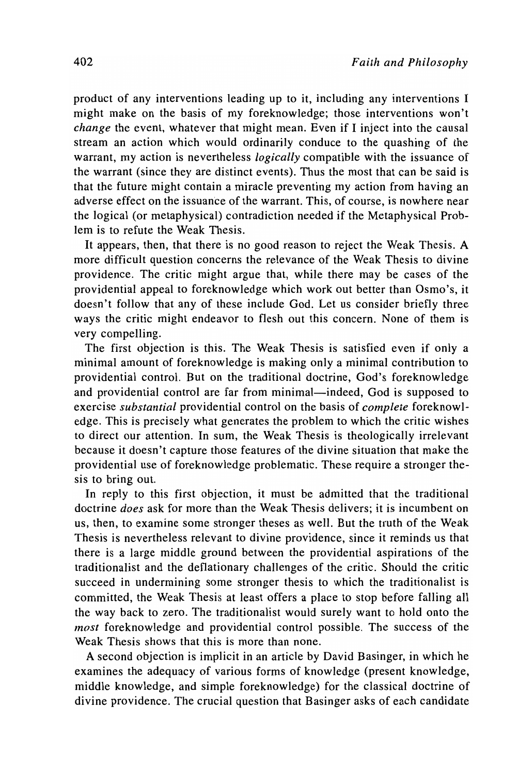product of any interventions leading up to it, including any interventions I might make on the basis of my foreknowledge; those interventions won't *change* the event, whatever that might mean. Even if I inject into the causal stream an action which would ordinarily conduce to the quashing of the warrant, my action is nevertheless *logically* compatible with the issuance of the warrant (since they are distinct events). Thus the most that can be said is that the future might contain a miracle preventing my action from having an adverse effect on the issuance of the warrant. This, of course, is nowhere near the logical (or metaphysical) contradiction needed if the Metaphysical Problem is to refute the Weak Thesis.

It appears, then, that there is no good reason to reject the Weak Thesis. A more difficult question concerns the relevance of the Weak Thesis to divine providence. The critic might argue that, while there may be cases of the providential appeal to foreknowledge which work out better than Osmo's, it doesn't follow that any of these include God. Let us consider briefly three ways the critic might endeavor to flesh out this concern. None of them is very compelling.

The first objection is this. The Weak Thesis is satisfied even if only a minimal amount of foreknowledge is making only a minimal contribution to providential control. But on the traditional doctrine, God's foreknowledge and providential control are far from minimal-indeed, God is supposed to exercise *substantial* providential control on the basis of *complete* foreknowledge. This is precisely what generates the problem to which the critic wishes to direct our attention. In sum, the Weak Thesis is theologically irrelevant because it doesn't capture those features of the divine situation that make the providential use of foreknowledge problematic. These require a stronger thesis to bring out.

In reply to this first objection, it must be admitted that the traditional doctrine *does* ask for more than the Weak Thesis delivers; it is incumbent on us, then, to examine some stronger theses as well. But the truth of the Weak Thesis is nevertheless relevant to divine providence, since it reminds us that there is a large middle ground between the providential aspirations of the traditionalist and the deflationary challenges of the critic. Should the critic succeed in undermining some stronger thesis to which the traditionalist is committed, the Weak Thesis at least offers a place to stop before falling all the way back to zero. The traditionalist would surely want to hold onto the *most* foreknowledge and providential control possible. The success of the Weak Thesis shows that this is more than none.

A second objection is implicit in an article by David Basinger, in which he examines the adequacy of various forms of knowledge (present knowledge, middle knowledge, and simple foreknowledge) for the classical doctrine of divine providence. The crucial question that Basinger asks of each candidate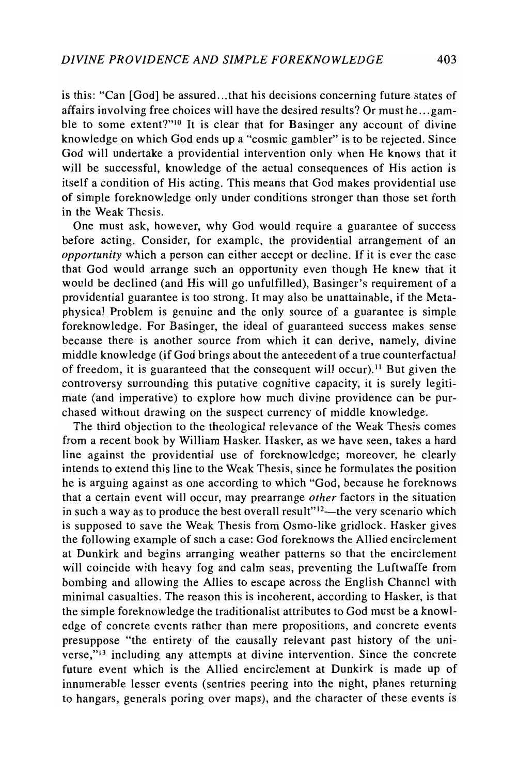is this: "Can [God] be assured ... that his decisions concerning future states of affairs involving free choices will have the desired results? Or must he ... gamble to some extent?"<sup>10</sup> It is clear that for Basinger any account of divine knowledge on which God ends up a "cosmic gambler" is to be rejected. Since God will undertake a providential intervention only when He knows that it will be successful, knowledge of the actual consequences of His action is itself a condition of His acting. This means that God makes providential use of simple foreknowledge only under conditions stronger than those set forth in the Weak Thesis.

One must ask, however, why God would require a guarantee of success before acting. Consider, for example, the providential arrangement of an *opportunity* which a person can either accept or decline. If it is ever the case that God would arrange such an opportunity even though He knew that it would be declined (and His wil1 go unfulfilled), Basinger's requirement of a providential guarantee is too strong. It may also be unattainable, if the Metaphysical Problem is genuine and the only source of a guarantee is simple foreknowledge. For Basinger, the ideal of guaranteed success makes sense because there is another source from which it can derive, namely, divine middle knowledge (if God brings about the antecedent of a true counterfactual of freedom, it is guaranteed that the consequent will occur).<sup>11</sup> But given the controversy surrounding this putative cognitive capacity, it is surely legitimate (and imperative) to explore how much divine providence can be purchased without drawing on the suspect currency of middle knowledge.

The third objection to the theological relevance of the Weak Thesis comes from a recent book by William Hasker. Hasker, as we have seen, takes a hard line against the providential use of foreknowledge; moreover, he clearly intends to extend this line to the Weak Thesis, since he formulates the position he is arguing against as one according to which "God, because he foreknows that a certain event will occur, may prearrange *other* factors in the situation in such a way as to produce the best overall result" $12$ —the very scenario which is supposed to save the Weak Thesis from Osmo-like gridlock. Hasker gives the following example of such a case: God foreknows the Allied encirclement at Dunkirk and begins arranging weather patterns so that the encirclement will coincide with heavy fog and calm seas, preventing the Luftwaffe from bombing and allowing the Allies to escape across the English Channel with minimal casualties. The reason this is incoherent, according to Hasker, is that the simple foreknowledge the traditionalist attributes to God must be a knowledge of concrete events rather than mere propositions, and concrete events presuppose "the entirety of the causally relevant past history of the universe,"<sup>13</sup> including any attempts at divine intervention. Since the concrete future event which is the Allied encirclement at Dunkirk is made up of innumerable lesser events (sentries peering into the night, planes returning to hangars, generals poring over maps), and the character of these events is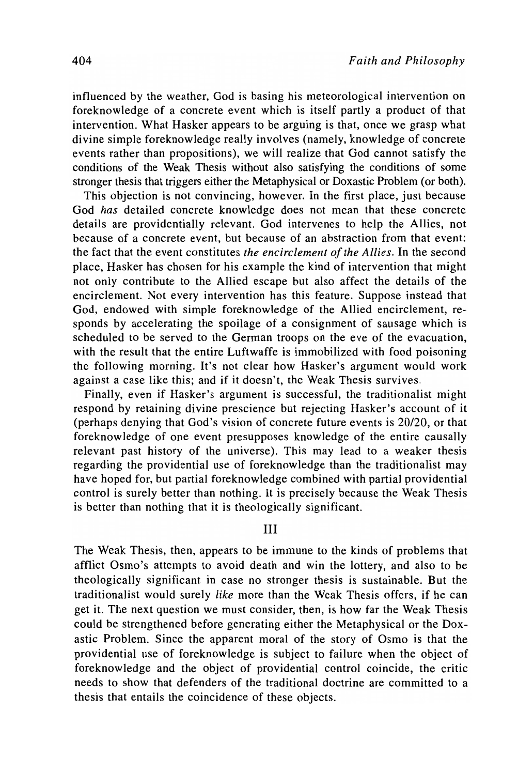influenced by the weather, God is basing his meteorological intervention on foreknowledge of a concrete event which is itself partly a product of that intervention. What Hasker appears to be arguing is that, once we grasp what divine simple foreknowledge really involves (namely, knowledge of concrete events rather than propositions), we will realize that God cannot satisfy the conditions of the Weak Thesis without also satisfying the conditions of some stronger thesis that triggers either the Metaphysical or Doxastic Problem (or both).

This objection is not convincing, however. In the first place, just because God *has* detailed concrete knowledge does not mean that these concrete details are providentially relevant. God intervenes to help the Allies, not because of a concrete event, but because of an abstraction from that event: the fact that the event constitutes *the encirclement of the Allies.* In the second place, Hasker has chosen for his example the kind of intervention that might not only contribute to the Allied escape but also affect the details of the encirclement. Not every intervention has this feature. Suppose instead that God, endowed with simple foreknowledge of the Allied encirclement, responds by accelerating the spoilage of a consignment of sausage which is scheduled to be served to the German troops on the eve of the evacuation, with the result that the entire Luftwaffe is immobilized with food poisoning the following morning. It's not clear how Hasker's argument would work against a case like this; and if it doesn't, the Weak Thesis survives.

Finally, even if Hasker's argument is successful, the traditionalist might respond by retaining divine prescience but rejecting Hasker's account of it (perhaps denying that God's vision of concrete future events is 20120, or that foreknowledge of one event presupposes knowledge of the entire causally relevant past history of the universe). This may lead to a weaker thesis regarding the providential use of foreknowledge than the traditionalist may have hoped for, but partial foreknowledge combined with partial providential control is surely better than nothing. It is precisely because the Weak Thesis is better than nothing that it is theologically significant.

#### III

The Weak Thesis, then, appears to be immune to the kinds of problems that afflict Osmo's attempts to avoid death and win the lottery, and also to be theologically significant in case no stronger thesis is sustainable. But the traditionalist would surely *like* more than the Weak Thesis offers, if he can get it. The next question we must consider, then, is how far the Weak Thesis could be strengthened before generating either the Metaphysical or the Doxastic Problem. Since the apparent moral of the story of Osmo is that the providential use of foreknowledge is subject to failure when the object of foreknowledge and the object of providential control coincide, the critic needs to show that defenders of the traditional doctrine are committed to a thesis that entails the coincidence of these objects.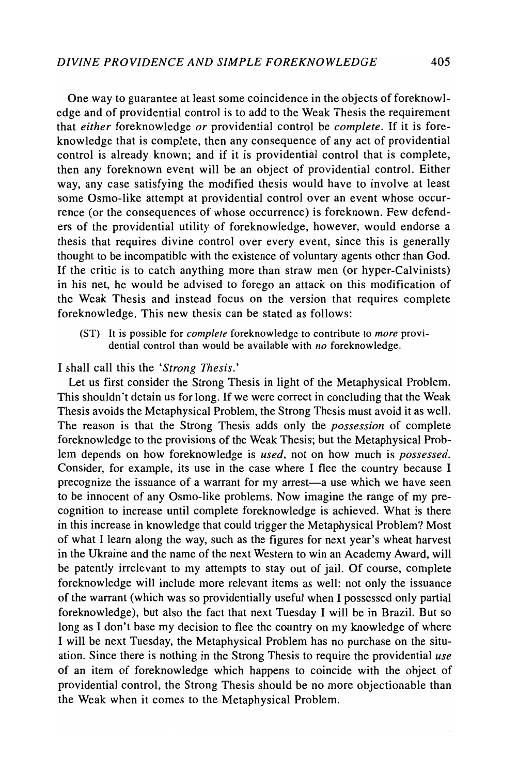One way to guarantee at least some coincidence in the objects of foreknowledge and of providential control is to add to the Weak Thesis the requirement that *either* foreknowledge *or* providential control be *complete.* If it is foreknowledge that is complete, then any consequence of any act of providential control is already known; and if it is providential control that is complete, then any foreknown event will be an object of providential control. Either way, any case satisfying the modified thesis would have to involve at least some Osmo-like attempt at providential control over an event whose occurrence (or the consequences of whose occurrence) is foreknown. Few defenders of the providential utility of foreknowledge, however, would endorse a thesis that requires divine control over every event, since this is generally thought to be incompatible with the existence of voluntary agents other than God. If the critic is to catch anything more than straw men (or hyper-Calvinists) in his net, he would be advised to forego an attack on this modification of the Weak Thesis and instead focus on the version that requires complete foreknowledge. This new thesis can be stated as follows:

(ST) It is possible for *complete* foreknowledge to contribute to *more* providential control than would be available with *no* foreknowledge.

I shall call this the' *Strong Thesis.'* 

Let us first consider the Strong Thesis in light of the Metaphysical Problem. This shouldn't detain us for long. If we were correct in concluding that the Weak Thesis avoids the Metaphysical Problem, the Strong Thesis must avoid it as well. The reason is that the Strong Thesis adds only the *possession* of complete foreknowledge to the provisions of the Weak Thesis; but the Metaphysical Problem depends on how foreknowledge is *used,* not on how much is *possessed.*  Consider, for example, its use in the case where I flee the country because I precognize the issuance of a warrant for my arrest—a use which we have seen to be innocent of any Osmo-like problems. Now imagine the range of my precognition to increase until complete foreknowledge is achieved. What is there in this increase in knowledge that could trigger the Metaphysical Problem? Most of what I learn along the way, such as the figures for next year's wheat harvest in the Ukraine and the name of the next Western to win an Academy Award, will be patently irrelevant to my attempts to stay out of jail. Of course, complete foreknowledge will include more relevant items as well: not only the issuance of the warrant (which was so providentially useful when I possessed only partial foreknowledge), but also the fact that next Tuesday I will be in Brazil. But so long as I don't base my decision to flee the country on my knowledge of where I will be next Tuesday, the Metaphysical Problem has no purchase on the situation. Since there is nothing in the Strong Thesis to require the providential *use*  of an item of foreknowledge which happens to coincide with the object of providential control, the Strong Thesis should be no more objectionable than the Weak when it comes to the Metaphysical Problem.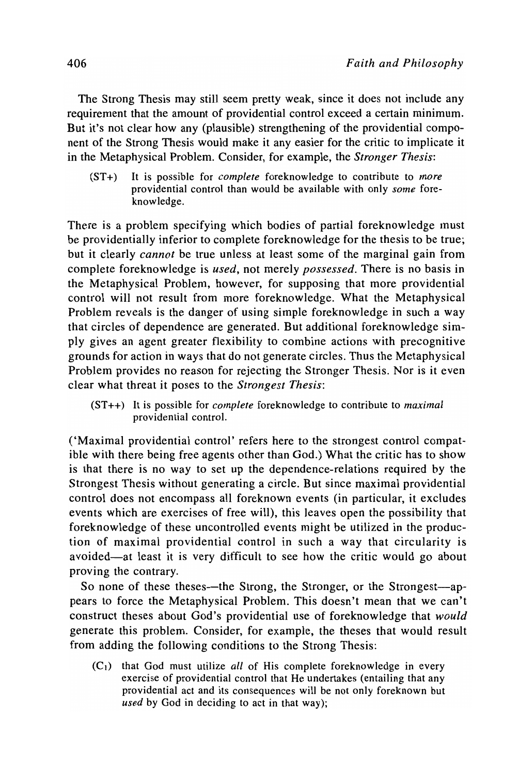The Strong Thesis may still seem pretty weak, since it does not include any requirement that the amount of providential control exceed a certain minimum. But it's not clear how any (plausible) strengthening of the providential component of the Strong Thesis would make it any easier for the critic to implicate it in the Metaphysical Problem. Consider, for example, the *Stronger Thesis:* 

(ST +) It is possible for *complete* foreknowledge to contribute to *more*  providential control than would be available with only *some* foreknowledge.

There is a problem specifying which bodies of partial foreknowledge must be providentially inferior to complete foreknowledge for the thesis to be true; but it clearly *cannot* be true unless at least some of the marginal gain from complete foreknowledge is *used,* not merely *possessed.* There is no basis in the Metaphysical Problem, however, for supposing that more providential control will not result from more foreknowledge. What the Metaphysical Problem reveals is the danger of using simple foreknowledge in such a way that circles of dependence are generated. But additional foreknowledge simply gives an agent greater flexibility to combine actions with precognitive grounds for action in ways that do not generate circles. Thus the Metaphysical Problem provides no reason for rejecting the Stronger Thesis. Nor is it even clear what threat it poses to the *Strongest Thesis:* 

(ST ++) It is possible for *complete* foreknowledge to contribute to *maximal*  providential control.

('Maximal providential control' refers here to the strongest control compatible with there being free agents other than God.) What the critic has to show is that there is no way to set up the dependence-relations required by the Strongest Thesis without generating a circle. But since maximal providential control does not encompass all foreknown events (in particular, it excludes events which are exercises of free will), this leaves open the possibility that foreknowledge of these uncontrolled events might be utilized in the production of maximal providential control in such a way that circularity is avoided-at least it is very difficult to see how the critic would go about proving the contrary.

So none of these theses—the Strong, the Stronger, or the Strongest—appears to force the Metaphysical Problem. This doesn't mean that we can't construct theses about God's providential use of foreknowledge that *would*  generate this problem. Consider, for example, the theses that would result from adding the following conditions to the Strong Thesis:

 $(C_1)$  that God must utilize *all* of His complete foreknowledge in every exercise of providential control that He undertakes (entailing that any providential act and its consequences will be not only foreknown but *used* by God in deciding to act in that way);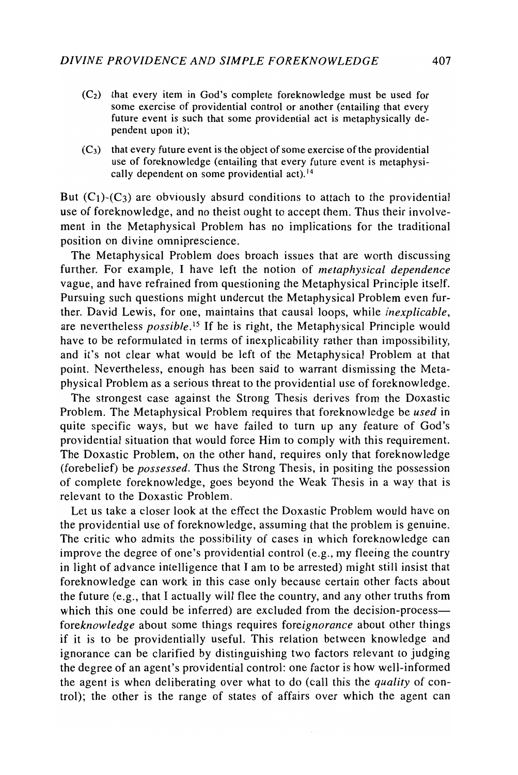- $(C_2)$  that every item in God's complete foreknowledge must be used for some exercise of providential control or another (entailing that every future event is such that some providential act is metaphysically dependent upon it);
- $(C_3)$  that every future event is the object of some exercise of the providential use of foreknowledge (entailing that every future event is metaphysically dependent on some providential act).<sup>14</sup>

But  $(C_1)$ - $(C_3)$  are obviously absurd conditions to attach to the providential use of foreknowledge, and no theist ought to accept them. Thus their involvement in the Metaphysical Problem has no implications for the traditional position on divine omniprescience.

The Metaphysical Problem does broach issues that are worth discussing further. For example, I have left the notion of *metaphysical dependence*  vague, and have refrained from questioning the Metaphysical Principle itself. Pursuing such questions might undercut the Metaphysical Problem even further. David Lewis, for one, maintains that causal loops, while *inexplicable,*  are nevertheless *possible* .15 If he is right, the Metaphysical Principle would have to be reformulated in terms of inexplicability rather than impossibility, and it's not clear what would be left of the Metaphysical Problem at that point. Nevertheless, enough has been said to warrant dismissing the Metaphysical Problem as a serious threat to the providential use of foreknowledge.

The strongest case against the Strong Thesis derives from the Doxastic Problem. The Metaphysical Problem requires that foreknowledge be *used* in quite specific ways, but we have failed to turn up any feature of God's providential situation that would force Him to comply with this requirement. The Doxastic Problem, on the other hand, requires only that foreknowledge (forebelief) be *possessed.* Thus the Strong Thesis, in positing the possession of complete foreknowledge, goes beyond the Weak Thesis in a way that is relevant to the Doxastic Problem.

Let us take a closer look at the effect the Doxastic Problem would have on the providential use of foreknowledge, assuming that the problem is genuine. The critic who admits the possibility of cases in which foreknowledge can improve the degree of one's providential control (e.g., my fleeing the country in light of advance intelligence that I am to be arrested) might still insist that foreknowledge can work in this case only because certain other facts about the future (e.g., that I actually wiII flee the country, and any other truths from which this one could be inferred) are excluded from the decision-process*foreknowledge* about some things requires *foreignorance* about other things if it is to be providentially useful. This relation between knowledge and ignorance can be clarified by distinguishing two factors relevant to judging the degree of an agent's providential control: one factor is how well-informed the agent is when deliberating over what to do (call this the *quality* of control); the other is the range of states of affairs over which the agent can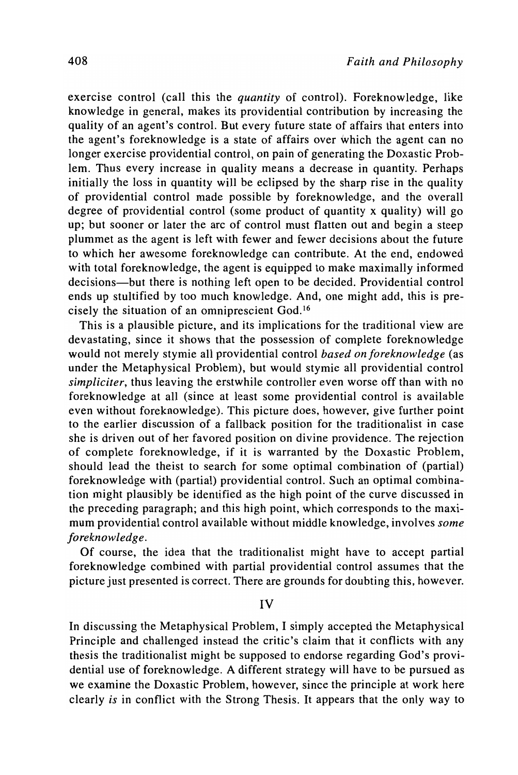exercise control (call this the *quantity* of control). Foreknowledge, like knowledge in general, makes its providential contribution by increasing the quality of an agent's control. But every future state of affairs that enters into the agent's foreknowledge is a state of affairs over which the agent can no longer exercise providential control, on pain of generating the Doxastic Problem. Thus every increase in quality means a decrease in quantity. Perhaps initially the loss in quantity will be eclipsed by the sharp rise in the quality of providential control made possible by foreknowledge, and the overall degree of providential control (some product of quantity x quality) will go up; but sooner or later the arc of control must flatten out and begin a steep plummet as the agent is left with fewer and fewer decisions about the future to which her awesome foreknowledge can contribute. At the end, endowed with total foreknowledge, the agent is equipped to make maximally informed decisions-but there is nothing left open to be decided. Providential control ends up stultified by too much knowledge. And, one might add, this is precisely the situation of an omniprescient God. <sup>16</sup>

This is a plausible picture, and its implications for the traditional view are devastating, since it shows that the possession of complete foreknowledge would not merely stymie all providential control *based on foreknowledge* (as under the Metaphysical Problem), but would stymie all providential control *simpliciter,* thus leaving the erstwhile controller even worse off than with no foreknowledge at all (since at least some providential control is available even without foreknowledge). This picture does, however, give further point to the earlier discussion of a fallback position for the traditionalist in case she is driven out of her favored position on divine providence. The rejection of complete foreknowledge, if it is warranted by the Doxastic Problem, should lead the theist to search for some optimal combination of (partial) foreknowledge with (partial) providential control. Such an optimal combination might plausibly be identified as the high point of the curve discussed in the preceding paragraph; and this high point, which corresponds to the maximum providential control available without middle knowledge, involves *some foreknowledge.* 

Of course, the idea that the traditionalist might have to accept partial foreknowledge combined with partial providential control assumes that the picture just presented is correct. There are grounds for doubting this, however.

IV

In discussing the Metaphysical Problem, I simply accepted the Metaphysical Principle and challenged instead the critic's claim that it conflicts with any thesis the traditionalist might be supposed to endorse regarding God's providential use of foreknowledge. A different strategy will have to be pursued as we examine the Doxastic Problem, however, since the principle at work here clearly *is* in conflict with the Strong Thesis. It appears that the only way to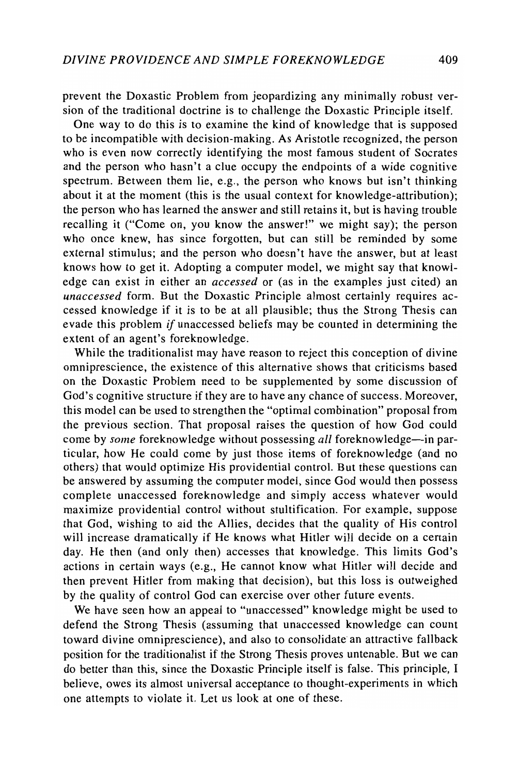prevent the Doxastic Problem from jeopardizing any minimally robust version of the traditional doctrine is to challenge the Doxastic Principle itself.

One way to do this is to examine the kind of knowledge that is supposed to be incompatible with decision-making. As Aristotle recognized, the person who is even now correctly identifying the most famous student of Socrates and the person who hasn't a clue occupy the endpoints of a wide cognitive spectrum. Between them lie, e.g., the person who knows but isn't thinking about it at the moment (this is the usual context for knowledge-attribution); the person who has learned the answer and still retains it, but is having trouble recalling it ("Come on, you know the answer!" we might say); the person who once knew, has since forgotten, but can still be reminded by some external stimulus; and the person who doesn't have the answer, but at least knows how to get it. Adopting a computer model, we might say that knowledge can exist in either an *accessed* or (as in the examples just cited) an *unaccessed* form. But the Doxastic Principle almost certainly requires accessed knowledge if it is to be at all plausible; thus the Strong Thesis can evade this problem *if* unaccessed beliefs may be counted in determining the extent of an agent's foreknowledge.

While the traditionalist may have reason to reject this conception of divine omniprescience, the existence of this alternative shows that criticisms based on the Doxastic Problem need to be supplemented by some discussion of God's cognitive structure if they are to have any chance of success. Moreover, this model can be used to strengthen the "optimal combination" proposal from the previous section. That proposal raises the question of how God could come by *some* foreknowledge without possessing *all* foreknowledge-in particular, how He could come by just those items of foreknowledge (and no others) that would optimize His providential control. But these questions can be answered by assuming the computer model, since God would then possess complete unaccessed foreknowledge and simply access whatever would maximize providential control without stultification. For example, suppose that God, wishing to aid the Allies, decides that the quality of His control will increase dramatically if He knows what Hitler will decide on a certain day. He then (and only then) accesses that knowledge. This limits God's actions in certain ways (e.g., He cannot know what Hitler will decide and then prevent Hitler from making that decision), but this loss is outweighed by the quality of control God can exercise over other future events.

We have seen how an appeal to "unaccessed" knowledge might be used to defend the Strong Thesis (assuming that unaccessed knowledge can count toward divine omniprescience), and also to consolidate an attractive fallback position for the traditionalist if the Strong Thesis proves untenable. But we can do better than this, since the Doxastic Principle itself is false. This principle, I believe, owes its almost universal acceptance to thought-experiments in which one attempts to violate it. Let us look at one of these.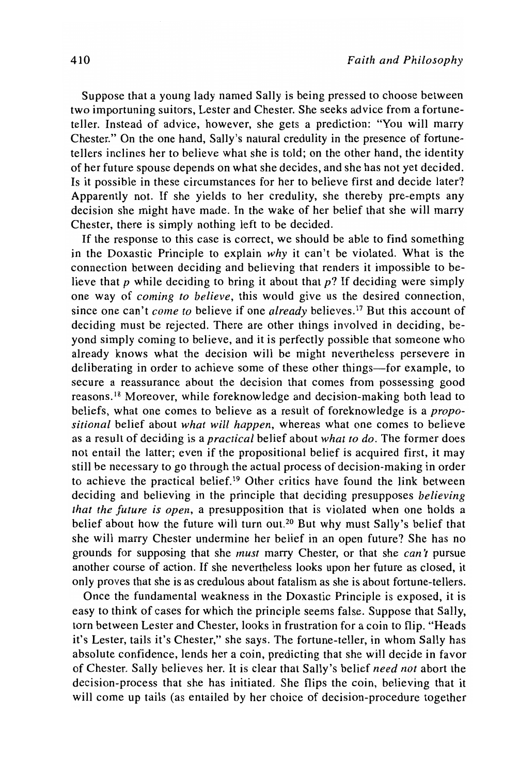Suppose that a young lady named Sally is being pressed to choose between two importuning suitors, Lester and Chester. She seeks advice from a fortuneteller. Instead of advice, however, she gets a prediction: "You will marry Chester." On the one hand, Sally's natural credulity in the presence of fortunetellers inclines her to believe what she is told; on the other hand, the identity of her future spouse depends on what she decides, and she has not yet decided. Is it possible in these circumstances for her to believe first and decide later? Apparently not. If she yields to her credulity, she thereby pre-empts any decision she might have made. In the wake of her belief that she will marry Chester, there is simply nothing left to be decided.

If the response to this case is correct, we should be able to find something in the Doxastic Principle to explain *why* it can't be violated. What is the connection between deciding and believing that renders it impossible to believe that *p* while deciding to bring it about that *p?* If deciding were simply one way of *coming to believe,* this would give us the desired connection, since one can't *come to* believe if one *already* believes.17 But this account of deciding must be rejected. There are other things involved in deciding, beyond simply coming to believe, and it is perfectly possible that someone who already knows what the decision will be might nevertheless persevere in deliberating in order to achieve some of these other things-for example, to secure a reassurance about the decision that comes from possessing good reasons.<sup>18</sup> Moreover, while foreknowledge and decision-making both lead to beliefs, what one comes to believe as a result of foreknowledge is a *propositional* belief about *what will happen,* whereas what one comes to believe as a result of deciding is a *practical* belief about *what to do.* The former does not entail the latter; even if the propositional belief is acquired first, it may still be necessary to go through the actual process of decision-making in order to achieve the practical belief.<sup>19</sup> Other critics have found the link between deciding and believing in the principle that deciding presupposes *believing that the future is open,* a presupposition that is violated when one holds a belief about how the future will turn out.<sup>20</sup> But why must Sally's belief that she will marry Chester undermine her belief in an open future? She has no grounds for supposing that she *must* marry Chester, or that she *can't* pursue another course of action. If she nevertheless looks upon her future as closed, it only proves that she is as credulous about fatalism as she is about fortune-tellers.

Once the fundamental weakness in the Doxastic Principle is exposed, it is easy to think of cases for which the principle seems false. Suppose that Sally, torn between Lester and Chester, looks in frustration for a coin to flip. "Heads it's Lester, tails it's Chester," she says. The fortune-teller, in whom Sally has absolute confidence, lends her a coin, predicting that she will decide in favor of Chester. Sally believes her. It is clear that Sally's belief *need not* abort the decision-process that she has initiated. She flips the coin, believing that it will come up tails (as entailed by her choice of decision-procedure together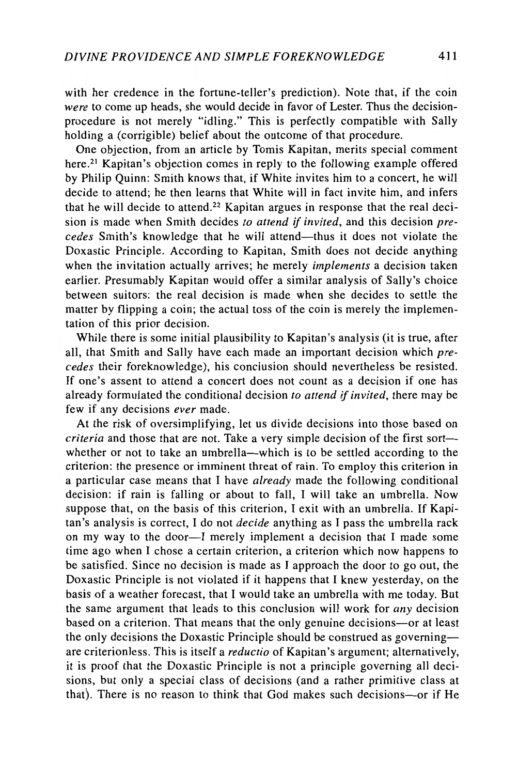with her credence in the fortune-teller's prediction). Note that, if the coin *were* to come up heads, she would decide in favor of Lester. Thus the decisionprocedure is not merely "idling." This is perfectly compatible with Sally holding a (corrigible) belief about the outcome of that procedure.

One objection, from an article by Tomis Kapitan, merits special comment here.<sup>21</sup> Kapitan's objection comes in reply to the following example offered by Philip Quinn: Smith knows that, if White invites him to a concert, he will decide to attend; he then learns that White will in fact invite him, and infers that he will decide to attend.<sup>22</sup> Kapitan argues in response that the real decision is made when Smith decides *to attend* if *invited,* and this decision *precedes* Smith's knowledge that he will attend-thus it does not violate the Doxastic Principle. According to Kapitan, Smith does not decide anything when the invitation actually arrives; he merely *implements* a decision taken earlier. Presumably Kapitan would offer a similar analysis of Sally's choice between suitors: the real decision is made when she decides to settle the matter by flipping a coin; the actual toss of the coin is merely the implementation of this prior decision.

While there is some initial plausibility to Kapitan's analysis (it is true, after all, that Smith and Sally have each made an important decision which *precedes* their foreknowledge), his conclusion should nevertheless be resisted. If one's assent to attend a concert does not count as a decision if one has already formulated the conditional decision *to attend* if *invited,* there may be few if any decisions *ever* made.

At the risk of oversimplifying, let us divide decisions into those based on *criteria* and those that are not. Take a very simple decision of the first sort whether or not to take an umbrella—which is to be settled according to the criterion: the presence or imminent threat of rain. To employ this criterion in a particular case means that I have *already* made the following conditional decision: if rain is falling or about to fall, I will take an umbrella. Now suppose that, on the basis of this criterion, I exit with an umbrella. If Kapitan's analysis is correct, I do not *decide* anything as I pass the umbrella rack on my way to the door-I merely implement a decision that I made some time ago when I chose a certain criterion, a criterion which now happens to be satisfied. Since no decision is made as I approach the door to go out, the Doxastic Principle is not violated if it happens that I knew yesterday, on the basis of a weather forecast, that I would take an umbrella with me today. But the same argument that leads to this conclusion will work for *any* decision based on a criterion. That means that the only genuine decisions—or at least the only decisions the Doxastic Principle should be construed as governing are criterionless. This is itself a *reductio* of Kapitan's argument; alternatively, it is proof that the Doxastic Principle is not a principle governing all decisions, but only a special class of decisions (and a rather primitive class at that). There is no reason to think that God makes such decisions-or if He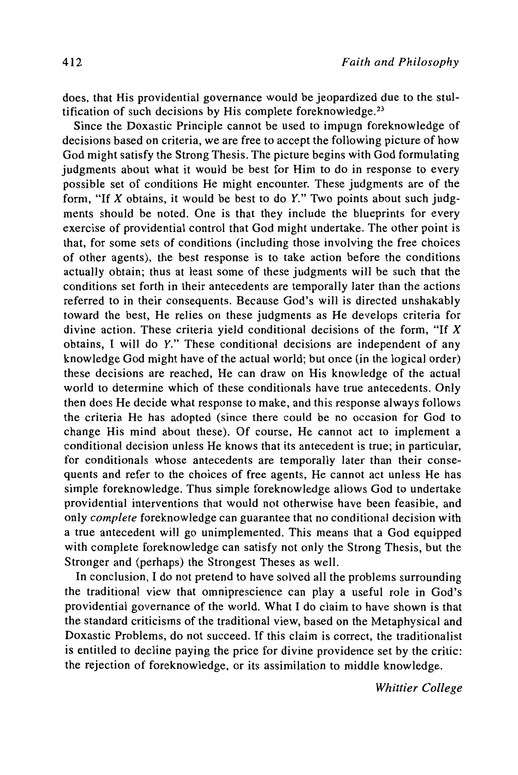does, that His providential governance would be jeopardized due to the stultification of such decisions by His complete foreknowledge. $23$ 

Since the Doxastic Principle cannot be used to impugn foreknowledge of decisions based on criteria, we are free to accept the following picture of how God might satisfy the Strong Thesis. The picture begins with God formulating judgments about what it would be best for Him to do in response to every possible set of conditions He might encounter. These judgments are of the form, "If X obtains, it would be best to do *Y."* Two points about such judgments should be noted. One is that they include the blueprints for every exercise of providential control that God might undertake. The other point is that, for some sets of conditions (including those involving the free choices of other agents), the best response is to take action before the conditions actually obtain; thus at least some of these judgments will be such that the conditions set forth in their antecedents are temporally later than the actions referred to in their consequents. Because God's will is directed unshakably toward the best, He relies on these judgments as He develops criteria for divine action. These criteria yield conditional decisions of the form, "If  $X$ obtains, I will do *Y."* These conditional decisions are independent of any knowledge God might have of the actual world; but once (in the logical order) these decisions are reached, He can draw on His knowledge of the actual world to determine which of these conditionals have true antecedents. Only then does He decide what response to make, and this response always follows the criteria He has adopted (since there could be no occasion for God to change His mind about these). Of course, He cannot act to implement a conditional decision unless He knows that its antecedent is true; in particular, for conditionals whose antecedents are temporally later than their consequents and refer to the choices of free agents, He cannot act unless He has simple foreknowledge. Thus simple foreknowledge allows God to undertake providential interventions that would not otherwise have been feasible, and only *complete* foreknowledge can guarantee that no conditional decision with a true antecedent will go unimplemented. This means that a God equipped with complete foreknowledge can satisfy not only the Strong Thesis, but the Stronger and (perhaps) the Strongest Theses as well.

In conclusion, I do not pretend to have solved all the problems surrounding the traditional view that omniprescience can play a useful role in God's providential governance of the world. What I do claim to have shown is that the standard criticisms of the traditional view, based on the Metaphysical and Doxastic Problems, do not succeed. If this claim is correct, the traditionalist is entitled to decline paying the price for divine providence set by the critic: the rejection of foreknowledge, or its assimilation to middle knowledge.

*Whittier College*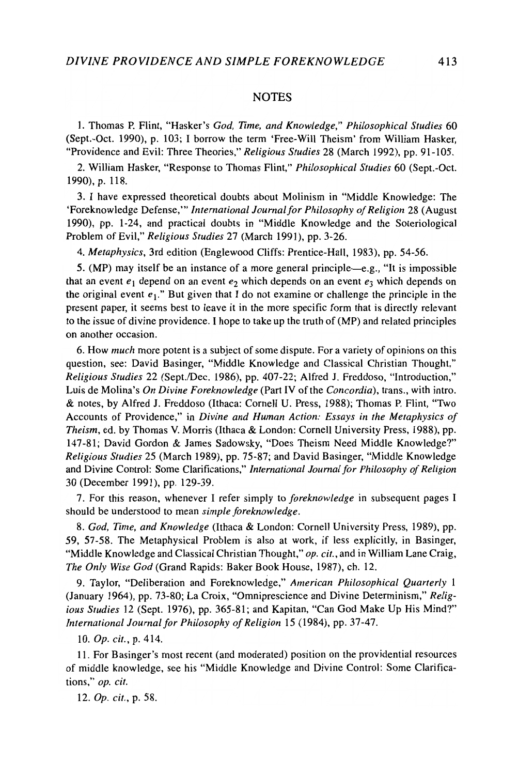### NOTES

1. Thomas P. Flint, "Hasker's *God, Time, and Knowledge," Philosophical Studies 60*  (Sept.-Oct. 1990), p. 103; I borrow the term 'Free-Will Theism' from William Hasker, "Providence and Evil: Three Theories," *Religious Studies* 28 (March 1992), pp. 91-105.

2. William Hasker, "Response to Thomas Flint," *Philosophical Studies* 60 (Sept.-Oct. 1990), p. 118.

3. I have expressed theoretical doubts about Molinism in "Middle Knowledge: The 'Foreknowledge Defense, '" *International Journal for Philosophy of Religion* 28 (August 1990), pp. 1-24, and practical doubts in "Middle Knowledge and the Soteriological Problem of Evil," *Religious Studies* 27 (March 1991), pp. 3-26.

4. *Metaphysics,* 3rd edition (Englewood Cliffs: Prentice-Hall, 1983), pp. 54-56.

5. (MP) may itself be an instance of a more general principle-e.g., "It is impossible that an event  $e_1$  depend on an event  $e_2$  which depends on an event  $e_3$  which depends on the original event  $e_1$ ." But given that I do not examine or challenge the principle in the present paper, it seems best to leave it in the more specific form that is directly relevant to the issue of divine providence. I hope to take up the truth of (MP) and related principles on another occasion.

6. How *much* more potent is a subject of some dispute. For a variety of opinions on this question, see: David Basinger, "Middle Knowledge and Classical Christian Thought," *Religious Studies* 22 (Sept./Dec. 1986), pp. 407-22; Alfred J. Freddoso, "Introduction," Luis de Molina's *On Divine Foreknowledge* (Part IV of the *Concordia),* trans., with intro. & notes, by Alfred J. Freddoso (Ithaca: Cornell U. Press, 1988); Thomas P. Flint, "Two Accounts of Providence," in *Divine and Human Action: Essays in the Metaphysics of Theism*, ed. by Thomas V. Morris (Ithaca & London: Cornell University Press, 1988), pp. 147-81; David Gordon & James Sadowsky, "Does Theism Need Middle Knowledge?" *Religious Studies* 25 (March 1989), pp. 75-87; and David Basinger, "Middle Knowledge and Divine Control: Some Clarifications," *International Journal for Philosophy of Religion*  30 (December 1991), pp. 129-39.

7. For this reason, whenever I refer simply to *foreknowledge* in subsequent pages I should be understood to mean *simple foreknowledge.* 

8. *God, Time, and Knowledge* (Ithaca & London: Cornell University Press, 1989), pp. 59, 57-58. The Metaphysical Problem is also at work, if less explicitly, in Basinger, "Middle Knowledge and Classical Christian Thought," *op. cit.,* and in William Lane Craig, *The Only Wise God* (Grand Rapids: Baker Book House, 1987), ch. 12.

9. Taylor, "Deliberation and Foreknowledge," *American Philosophical Quarterly* 1 (January 1964), pp. 73-80; La Croix, "Omniprescience and Divine Determinism," *Religious Studies* 12 (Sept. 1976), pp. 365-81; and Kapitan, "Can God Make Up His Mind?" *International Journal for Philosophy of Religion* 15 (1984), pp. 37-47.

10. *Op. cit.,* p. 414.

11. For Basinger's most recent (and moderated) position on the providential resources of middle knowledge, see his "Middle Knowledge and Divine Control: Some Clarifications," *op. cit.* 

*12. Op. cit.,* p. 58.